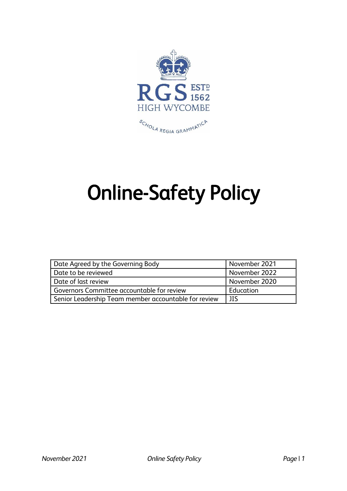

# Online-Safety Policy

| Date Agreed by the Governing Body                    | November 2021 |
|------------------------------------------------------|---------------|
| Date to be reviewed                                  | November 2022 |
| Date of last review                                  | November 2020 |
| Governors Committee accountable for review           | Education     |
| Senior Leadership Team member accountable for review | ΠS            |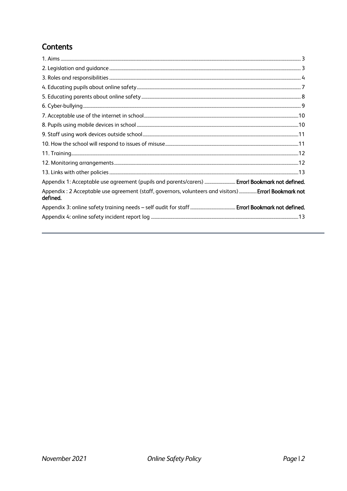# Contents

<span id="page-1-0"></span>

| Appendix 1: Acceptable use agreement (pupils and parents/carers)  Error! Bookmark not defined.                    |
|-------------------------------------------------------------------------------------------------------------------|
| Appendix: 2 Acceptable use agreement (staff, governors, volunteers and visitors)  Error! Bookmark not<br>defined. |
|                                                                                                                   |
|                                                                                                                   |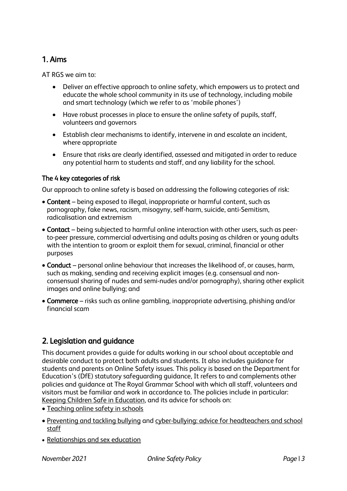## 1. Aims

AT RGS we aim to:

- Deliver an effective approach to online safety, which empowers us to protect and educate the whole school community in its use of technology, including mobile and smart technology (which we refer to as 'mobile phones')
- Have robust processes in place to ensure the online safety of pupils, staff, volunteers and governors
- Establish clear mechanisms to identify, intervene in and escalate an incident, where appropriate
- Ensure that risks are clearly identified, assessed and mitigated in order to reduce any potential harm to students and staff, and any liability for the school.

#### The 4 key categories of risk

Our approach to online safety is based on addressing the following categories of risk:

- Content being exposed to illegal, inappropriate or harmful content, such as pornography, fake news, racism, misogyny, self-harm, suicide, anti-Semitism, radicalisation and extremism
- Contact being subjected to harmful online interaction with other users, such as peerto-peer pressure, commercial advertising and adults posing as children or young adults with the intention to groom or exploit them for sexual, criminal, financial or other purposes
- Conduct personal online behaviour that increases the likelihood of, or causes, harm, such as making, sending and receiving explicit images (e.g. consensual and nonconsensual sharing of nudes and semi-nudes and/or pornography), sharing other explicit images and online bullying; and
- Commerce risks such as online gambling, inappropriate advertising, phishing and/or financial scam

## <span id="page-2-0"></span>2. Legislation and guidance

This document provides a guide for adults working in our school about acceptable and desirable conduct to protect both adults and students. It also includes guidance for students and parents on Online Safety issues. This policy is based on the Department for Education's (DfE) statutory safeguarding guidance, It refers to and complements other policies and guidance at The Royal Grammar School with which all staff, volunteers and visitors must be familiar and work in accordance to. The policies include in particular: [Keeping Children Safe in Education,](https://www.gov.uk/government/publications/keeping-children-safe-in-education--2) and its advice for schools on:

- [Teaching online safety in schools](https://www.gov.uk/government/publications/teaching-online-safety-in-schools)
- [Preventing and tackling bullying](https://www.gov.uk/government/publications/preventing-and-tackling-bullying) and [cyber-bullying: advice for headteachers and school](https://www.gov.uk/government/publications/preventing-and-tackling-bullying)  [staff](https://www.gov.uk/government/publications/preventing-and-tackling-bullying)
- [Relationships and sex education](https://www.gov.uk/government/publications/relationships-education-relationships-and-sex-education-rse-and-health-education)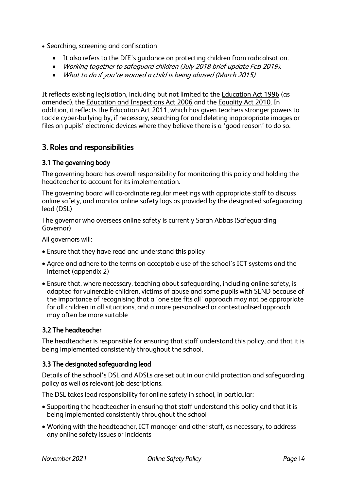- [Searching, screening and confiscation](https://www.gov.uk/government/publications/searching-screening-and-confiscation)
	- It also refers to the DfE's guidance on [protecting children from radicalisation.](https://www.gov.uk/government/publications/protecting-children-from-radicalisation-the-prevent-duty)
	- Working together to safeguard children (July 2018 brief update Feb 2019).
	- What to do if you're worried a child is being abused (March 2015)

It reflects existing legislation, including but not limited to the [Education Act 1996](https://www.legislation.gov.uk/ukpga/1996/56/contents) (as amended), the [Education and Inspections Act 2006](https://www.legislation.gov.uk/ukpga/2006/40/contents) and th[e Equality Act 2010.](https://www.legislation.gov.uk/ukpga/2010/15/contents) In addition, it reflects the [Education Act 2011,](http://www.legislation.gov.uk/ukpga/2011/21/contents/enacted) which has given teachers stronger powers to tackle cyber-bullying by, if necessary, searching for and deleting inappropriate images or files on pupils' electronic devices where they believe there is a 'good reason' to do so.

## <span id="page-3-0"></span>3. Roles and responsibilities

#### 3.1 The governing body

The governing board has overall responsibility for monitoring this policy and holding the headteacher to account for its implementation.

The governing board will co-ordinate regular meetings with appropriate staff to discuss online safety, and monitor online safety logs as provided by the designated safeguarding lead (DSL)

The governor who oversees online safety is currently Sarah Abbas (Safeguarding Governor)

All governors will:

- Ensure that they have read and understand this policy
- Agree and adhere to the terms on acceptable use of the school's ICT systems and the internet (appendix 2)
- Ensure that, where necessary, teaching about safeguarding, including online safety, is adapted for vulnerable children, victims of abuse and some pupils with SEND because of the importance of recognising that a 'one size fits all' approach may not be appropriate for all children in all situations, and a more personalised or contextualised approach may often be more suitable

#### 3.2 The headteacher

The headteacher is responsible for ensuring that staff understand this policy, and that it is being implemented consistently throughout the school.

#### 3.3 The designated safeguarding lead

Details of the school's DSL and ADSLs are set out in our child protection and safeguarding policy as well as relevant job descriptions.

The DSL takes lead responsibility for online safety in school, in particular:

- Supporting the headteacher in ensuring that staff understand this policy and that it is being implemented consistently throughout the school
- Working with the headteacher, ICT manager and other staff, as necessary, to address any online safety issues or incidents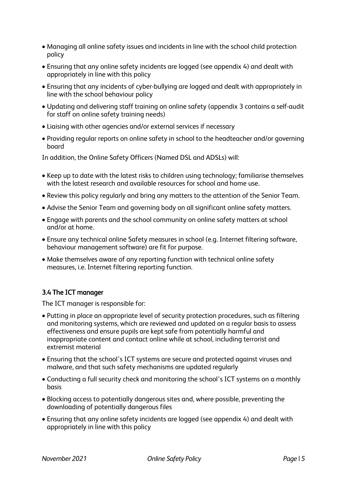- Managing all online safety issues and incidents in line with the school child protection policy
- Ensuring that any online safety incidents are logged (see appendix 4) and dealt with appropriately in line with this policy
- Ensuring that any incidents of cyber-bullying are logged and dealt with appropriately in line with the school behaviour policy
- Updating and delivering staff training on online safety (appendix 3 contains a self-audit for staff on online safety training needs)
- Liaising with other agencies and/or external services if necessary
- Providing regular reports on online safety in school to the headteacher and/or governing board

In addition, the Online Safety Officers (Named DSL and ADSLs) will:

- Keep up to date with the latest risks to children using technology; familiarise themselves with the latest research and available resources for school and home use.
- Review this policy regularly and bring any matters to the attention of the Senior Team.
- Advise the Senior Team and governing body on all significant online safety matters.
- Engage with parents and the school community on online safety matters at school and/or at home.
- Ensure any technical online Safety measures in school (e.g. Internet filtering software, behaviour management software) are fit for purpose.
- Make themselves aware of any reporting function with technical online safety measures, i.e. Internet filtering reporting function.

## 3.4 The ICT manager

The ICT manager is responsible for:

- Putting in place an appropriate level of security protection procedures, such as filtering and monitoring systems, which are reviewed and updated on a regular basis to assess effectiveness and ensure pupils are kept safe from potentially harmful and inappropriate content and contact online while at school, including terrorist and extremist material
- Ensuring that the school's ICT systems are secure and protected against viruses and malware, and that such safety mechanisms are updated regularly
- Conducting a full security check and monitoring the school's ICT systems on a monthly basis
- Blocking access to potentially dangerous sites and, where possible, preventing the downloading of potentially dangerous files
- Ensuring that any online safety incidents are logged (see appendix 4) and dealt with appropriately in line with this policy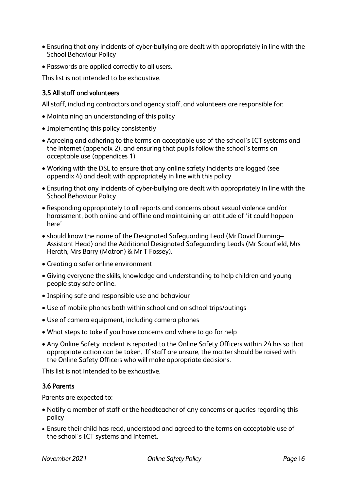- Ensuring that any incidents of cyber-bullying are dealt with appropriately in line with the School Behaviour Policy
- Passwords are applied correctly to all users.

This list is not intended to be exhaustive.

#### 3.5 All staff and volunteers

All staff, including contractors and agency staff, and volunteers are responsible for:

- Maintaining an understanding of this policy
- Implementing this policy consistently
- Agreeing and adhering to the terms on acceptable use of the school's ICT systems and the internet (appendix 2), and ensuring that pupils follow the school's terms on acceptable use (appendices 1)
- Working with the DSL to ensure that any online safety incidents are logged (see appendix 4) and dealt with appropriately in line with this policy
- Ensuring that any incidents of cyber-bullying are dealt with appropriately in line with the School Behaviour Policy
- Responding appropriately to all reports and concerns about sexual violence and/or harassment, both online and offline and maintaining an attitude of 'it could happen here'
- should know the name of the Designated Safeguarding Lead (Mr David Durning– Assistant Head) and the Additional Designated Safeguarding Leads (Mr Scourfield, Mrs Herath, Mrs Barry (Matron) & Mr T Fossey).
- Creating a safer online environment
- Giving everyone the skills, knowledge and understanding to help children and young people stay safe online.
- Inspiring safe and responsible use and behaviour
- Use of mobile phones both within school and on school trips/outings
- Use of camera equipment, including camera phones
- What steps to take if you have concerns and where to go for help
- Any Online Safety incident is reported to the Online Safety Officers within 24 hrs so that appropriate action can be taken. If staff are unsure, the matter should be raised with the Online Safety Officers who will make appropriate decisions.

This list is not intended to be exhaustive.

#### 3.6 Parents

Parents are expected to:

- Notify a member of staff or the headteacher of any concerns or queries regarding this policy
- Ensure their child has read, understood and agreed to the terms on acceptable use of the school's ICT systems and internet.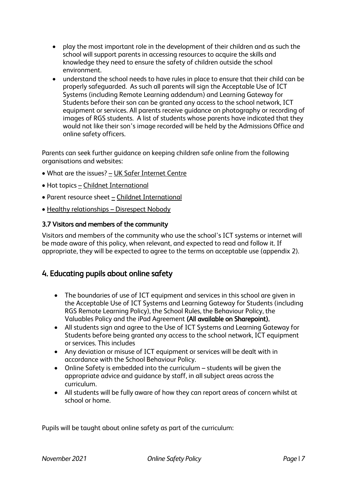- play the most important role in the development of their children and as such the school will support parents in accessing resources to acquire the skills and knowledge they need to ensure the safety of children outside the school environment.
- understand the school needs to have rules in place to ensure that their child can be properly safeguarded. As such all parents will sign the Acceptable Use of ICT Systems (including Remote Learning addendum) and Learning Gateway for Students before their son can be granted any access to the school network, ICT equipment or services. All parents receive guidance on photography or recording of images of RGS students. A list of students whose parents have indicated that they would not like their son's image recorded will be held by the Admissions Office and online safety officers.

Parents can seek further guidance on keeping children safe online from the following organisations and websites:

- What are the issues? [UK Safer Internet Centre](https://www.saferinternet.org.uk/advice-centre/parents-and-carers/what-are-issues)
- Hot topics [Childnet International](http://www.childnet.com/parents-and-carers/hot-topics)
- Parent resource sheet [Childnet International](https://www.childnet.com/resources/parents-and-carers-resource-sheet)
- Healthy relationships [Disrespect Nobody](https://www.disrespectnobody.co.uk/)

#### 3.7 Visitors and members of the community

Visitors and members of the community who use the school's ICT systems or internet will be made aware of this policy, when relevant, and expected to read and follow it. If appropriate, they will be expected to agree to the terms on acceptable use (appendix 2).

## <span id="page-6-0"></span>4. Educating pupils about online safety

- The boundaries of use of ICT equipment and services in this school are given in the Acceptable Use of ICT Systems and Learning Gateway for Students (including RGS Remote Learning Policy), the School Rules, the Behaviour Policy, the Valuables Policy and the iPad Agreement (All available on Sharepoint).
- All students sign and agree to the Use of ICT Systems and Learning Gateway for Students before being granted any access to the school network, ICT equipment or services. This includes
- Any deviation or misuse of ICT equipment or services will be dealt with in accordance with the School Behaviour Policy.
- Online Safety is embedded into the curriculum students will be given the appropriate advice and guidance by staff, in all subject areas across the curriculum.
- All students will be fully aware of how they can report areas of concern whilst at school or home.

Pupils will be taught about online safety as part of the curriculum: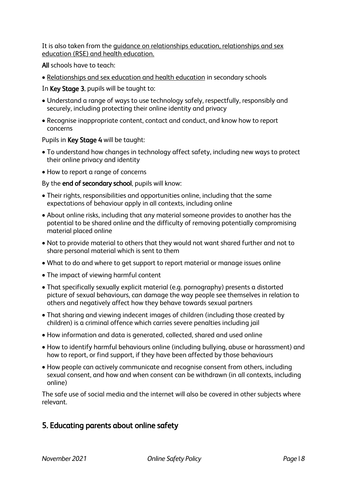It is also taken from the [guidance on relationships education, relationships and sex](https://www.gov.uk/government/publications/relationships-education-relationships-and-sex-education-rse-and-health-education)  [education \(RSE\) and health education.](https://www.gov.uk/government/publications/relationships-education-relationships-and-sex-education-rse-and-health-education)

All schools have to teach:

• [Relationships and sex education and health education](https://schoolleaders.thekeysupport.com/uid/66a1d83e-2fb9-411e-91f1-fe52a09d16d1/) in secondary schools

In Key Stage 3, pupils will be taught to:

- Understand a range of ways to use technology safely, respectfully, responsibly and securely, including protecting their online identity and privacy
- Recognise inappropriate content, contact and conduct, and know how to report concerns

#### Pupils in Key Stage 4 will be taught:

- To understand how changes in technology affect safety, including new ways to protect their online privacy and identity
- How to report a range of concerns

By the end of secondary school, pupils will know:

- Their rights, responsibilities and opportunities online, including that the same expectations of behaviour apply in all contexts, including online
- About online risks, including that any material someone provides to another has the potential to be shared online and the difficulty of removing potentially compromising material placed online
- Not to provide material to others that they would not want shared further and not to share personal material which is sent to them
- What to do and where to get support to report material or manage issues online
- The impact of viewing harmful content
- That specifically sexually explicit material (e.g. pornography) presents a distorted picture of sexual behaviours, can damage the way people see themselves in relation to others and negatively affect how they behave towards sexual partners
- That sharing and viewing indecent images of children (including those created by children) is a criminal offence which carries severe penalties including jail
- How information and data is generated, collected, shared and used online
- How to identify harmful behaviours online (including bullying, abuse or harassment) and how to report, or find support, if they have been affected by those behaviours
- How people can actively communicate and recognise consent from others, including sexual consent, and how and when consent can be withdrawn (in all contexts, including online)

The safe use of social media and the internet will also be covered in other subjects where relevant.

## <span id="page-7-0"></span>5. Educating parents about online safety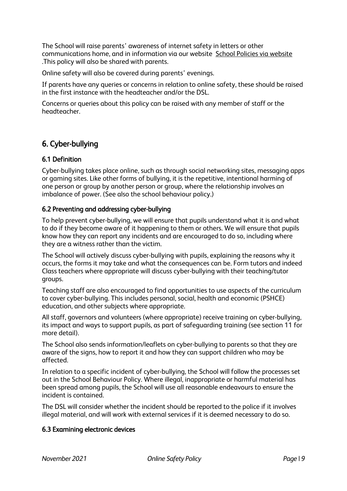The School will raise parents' awareness of internet safety in letters or other communications home, and in information via our website [School Policies via website](https://www.rgshw.com/page/?title=Our+Policies&pid=25) .This policy will also be shared with parents.

Online safety will also be covered during parents' evenings.

If parents have any queries or concerns in relation to online safety, these should be raised in the first instance with the headteacher and/or the DSL.

Concerns or queries about this policy can be raised with any member of staff or the headteacher.

## <span id="page-8-0"></span>6. Cyber-bullying

#### 6.1 Definition

Cyber-bullying takes place online, such as through social networking sites, messaging apps or gaming sites. Like other forms of bullying, it is the repetitive, intentional harming of one person or group by another person or group, where the relationship involves an imbalance of power. (See also the school behaviour policy.)

#### 6.2 Preventing and addressing cyber-bullying

To help prevent cyber-bullying, we will ensure that pupils understand what it is and what to do if they become aware of it happening to them or others. We will ensure that pupils know how they can report any incidents and are encouraged to do so, including where they are a witness rather than the victim.

The School will actively discuss cyber-bullying with pupils, explaining the reasons why it occurs, the forms it may take and what the consequences can be. Form tutors and indeed Class teachers where appropriate will discuss cyber-bullying with their teaching/tutor groups.

Teaching staff are also encouraged to find opportunities to use aspects of the curriculum to cover cyber-bullying. This includes personal, social, health and economic (PSHCE) education, and other subjects where appropriate.

All staff, governors and volunteers (where appropriate) receive training on cyber-bullying, its impact and ways to support pupils, as part of safeguarding training (see section 11 for more detail).

The School also sends information/leaflets on cyber-bullying to parents so that they are aware of the signs, how to report it and how they can support children who may be affected.

In relation to a specific incident of cyber-bullying, the School will follow the processes set out in the School Behaviour Policy. Where illegal, inappropriate or harmful material has been spread among pupils, the School will use all reasonable endeavours to ensure the incident is contained.

The DSL will consider whether the incident should be reported to the police if it involves illegal material, and will work with external services if it is deemed necessary to do so.

#### 6.3 Examining electronic devices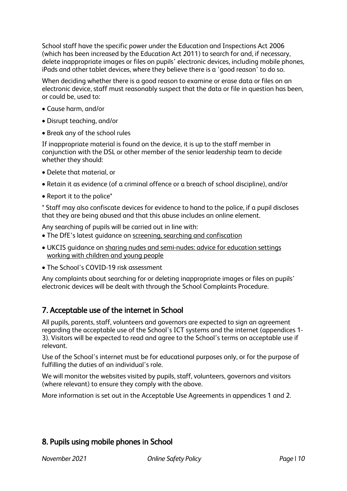School staff have the specific power under the Education and Inspections Act 2006 (which has been increased by the Education Act 2011) to search for and, if necessary, delete inappropriate images or files on pupils' electronic devices, including mobile phones, iPads and other tablet devices, where they believe there is a 'good reason' to do so.

When deciding whether there is a good reason to examine or erase data or files on an electronic device, staff must reasonably suspect that the data or file in question has been, or could be, used to:

- Cause harm, and/or
- Disrupt teaching, and/or
- Break any of the school rules

If inappropriate material is found on the device, it is up to the staff member in conjunction with the DSL or other member of the senior leadership team to decide whether they should:

- Delete that material, or
- Retain it as evidence (of a criminal offence or a breach of school discipline), and/or
- Report it to the police\*

\* Staff may also confiscate devices for evidence to hand to the police, if a pupil discloses that they are being abused and that this abuse includes an online element.

Any searching of pupils will be carried out in line with:

- The DfE's latest guidance on [screening, searching and confiscation](https://www.gov.uk/government/publications/searching-screening-and-confiscation)
- UKCIS guidance on [sharing nudes and semi-nudes: advice for education settings](https://www.gov.uk/government/publications/sharing-nudes-and-semi-nudes-advice-for-education-settings-working-with-children-and-young-people)  [working with children and young people](https://www.gov.uk/government/publications/sharing-nudes-and-semi-nudes-advice-for-education-settings-working-with-children-and-young-people)
- The School's COVID-19 risk assessment

Any complaints about searching for or deleting inappropriate images or files on pupils' electronic devices will be dealt with through the School Complaints Procedure.

## <span id="page-9-0"></span>7. Acceptable use of the internet in School

All pupils, parents, staff, volunteers and governors are expected to sign an agreement regarding the acceptable use of the School's ICT systems and the internet (appendices 1- 3). Visitors will be expected to read and agree to the School's terms on acceptable use if relevant.

Use of the School's internet must be for educational purposes only, or for the purpose of fulfilling the duties of an individual's role.

We will monitor the websites visited by pupils, staff, volunteers, governors and visitors (where relevant) to ensure they comply with the above.

More information is set out in the Acceptable Use Agreements in appendices 1 and 2.

## <span id="page-9-1"></span>8. Pupils using mobile phones in School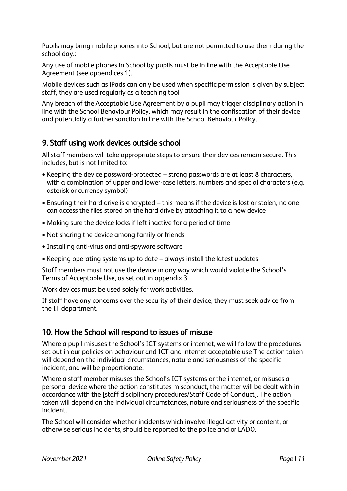Pupils may bring mobile phones into School, but are not permitted to use them during the school day.:

Any use of mobile phones in School by pupils must be in line with the Acceptable Use Agreement (see appendices 1).

Mobile devices such as iPads can only be used when specific permission is given by subject staff, they are used regularly as a teaching tool

Any breach of the Acceptable Use Agreement by a pupil may trigger disciplinary action in line with the School Behaviour Policy, which may result in the confiscation of their device and potentially a further sanction in line with the School Behaviour Policy.

## <span id="page-10-0"></span>9. Staff using work devices outside school

All staff members will take appropriate steps to ensure their devices remain secure. This includes, but is not limited to:

- Keeping the device password-protected strong passwords are at least 8 characters, with a combination of upper and lower-case letters, numbers and special characters (e.g. asterisk or currency symbol)
- Ensuring their hard drive is encrypted this means if the device is lost or stolen, no one can access the files stored on the hard drive by attaching it to a new device
- Making sure the device locks if left inactive for a period of time
- Not sharing the device among family or friends
- Installing anti-virus and anti-spyware software
- Keeping operating systems up to date always install the latest updates

Staff members must not use the device in any way which would violate the School's Terms of Acceptable Use, as set out in appendix 3.

Work devices must be used solely for work activities.

If staff have any concerns over the security of their device, they must seek advice from the IT department.

## <span id="page-10-1"></span>10. How the School will respond to issues of misuse

Where a pupil misuses the School's ICT systems or internet, we will follow the procedures set out in our policies on behaviour and ICT and internet acceptable use The action taken will depend on the individual circumstances, nature and seriousness of the specific incident, and will be proportionate.

Where a staff member misuses the School's ICT systems or the internet, or misuses a personal device where the action constitutes misconduct, the matter will be dealt with in accordance with the [staff disciplinary procedures/Staff Code of Conduct]. The action taken will depend on the individual circumstances, nature and seriousness of the specific incident.

The School will consider whether incidents which involve illegal activity or content, or otherwise serious incidents, should be reported to the police and or LADO.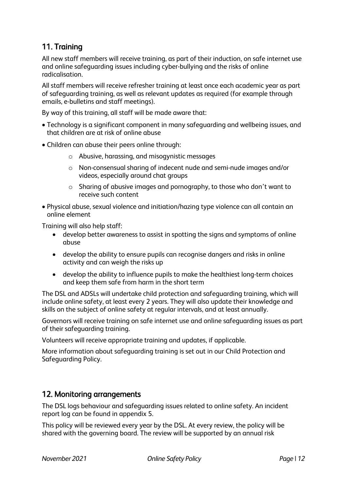## <span id="page-11-0"></span>11. Training

All new staff members will receive training, as part of their induction, on safe internet use and online safeguarding issues including cyber-bullying and the risks of online radicalisation.

All staff members will receive refresher training at least once each academic year as part of safeguarding training, as well as relevant updates as required (for example through emails, e-bulletins and staff meetings).

By way of this training, all staff will be made aware that:

- Technology is a significant component in many safeguarding and wellbeing issues, and that children are at risk of online abuse
- Children can abuse their peers online through:
	- o Abusive, harassing, and misogynistic messages
	- o Non-consensual sharing of indecent nude and semi-nude images and/or videos, especially around chat groups
	- o Sharing of abusive images and pornography, to those who don't want to receive such content
- Physical abuse, sexual violence and initiation/hazing type violence can all contain an online element

Training will also help staff:

- develop better awareness to assist in spotting the signs and symptoms of online abuse
- develop the ability to ensure pupils can recognise dangers and risks in online activity and can weigh the risks up
- develop the ability to influence pupils to make the healthiest long-term choices and keep them safe from harm in the short term

The DSL and ADSLs will undertake child protection and safeguarding training, which will include online safety, at least every 2 years. They will also update their knowledge and skills on the subject of online safety at regular intervals, and at least annually.

Governors will receive training on safe internet use and online safeguarding issues as part of their safeguarding training.

Volunteers will receive appropriate training and updates, if applicable.

More information about safeguarding training is set out in our Child Protection and Safeguarding Policy.

## <span id="page-11-1"></span>12. Monitoring arrangements

The DSL logs behaviour and safeguarding issues related to online safety. An incident report log can be found in appendix 5.

This policy will be reviewed every year by the DSL. At every review, the policy will be shared with the governing board. The review will be supported by an annual risk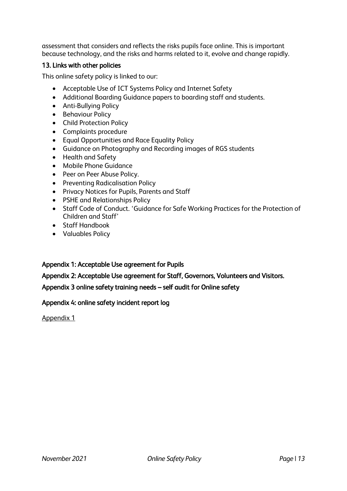assessment that considers and reflects the risks pupils face online. This is important because technology, and the risks and harms related to it, evolve and change rapidly.

#### <span id="page-12-0"></span>13. Links with other policies

This online safety policy is linked to our:

- Acceptable Use of ICT Systems Policy and Internet Safety
- Additional Boarding Guidance papers to boarding staff and students.
- Anti-Bullying Policy
- Behaviour Policy
- Child Protection Policy
- Complaints procedure
- Equal Opportunities and Race Equality Policy
- Guidance on Photography and Recording images of RGS students
- Health and Safety
- Mobile Phone Guidance
- Peer on Peer Abuse Policy.
- Preventing Radicalisation Policy
- Privacy Notices for Pupils, Parents and Staff
- PSHE and Relationships Policy
- Staff Code of Conduct. 'Guidance for Safe Working Practices for the Protection of Children and Staff'
- Staff Handbook
- Valuables Policy

#### Appendix 1: Acceptable Use agreement for Pupils

Appendix 2: Acceptable Use agreement for Staff, Governors, Volunteers and Visitors.

#### Appendix 3 online safety training needs – self audit for Online safety

#### <span id="page-12-1"></span>Appendix 4: online safety incident report log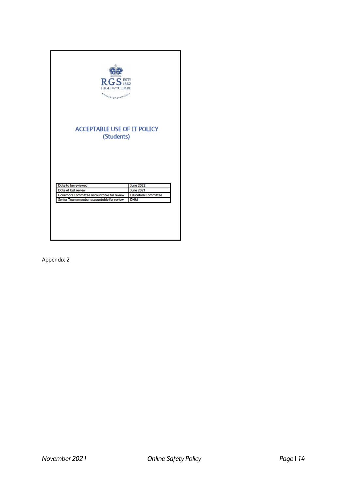| RGS <sub>1562</sub><br><b>HIGH WYCOMBE</b><br>FOXOLA REGIA GRAPPIETER                   |                                                |  |  |
|-----------------------------------------------------------------------------------------|------------------------------------------------|--|--|
| <b>ACCEPTABLE USE OF IT POLICY</b>                                                      |                                                |  |  |
| (Students)                                                                              |                                                |  |  |
|                                                                                         |                                                |  |  |
|                                                                                         |                                                |  |  |
|                                                                                         |                                                |  |  |
| Date to be reviewed                                                                     | <b>June 2022</b>                               |  |  |
| Date of last review                                                                     | <b>June 2021</b><br><b>Education Committee</b> |  |  |
| Governors Committee accountable for review<br>Senior Team member accountable for review | <b>DHM</b>                                     |  |  |
|                                                                                         |                                                |  |  |
|                                                                                         |                                                |  |  |
|                                                                                         |                                                |  |  |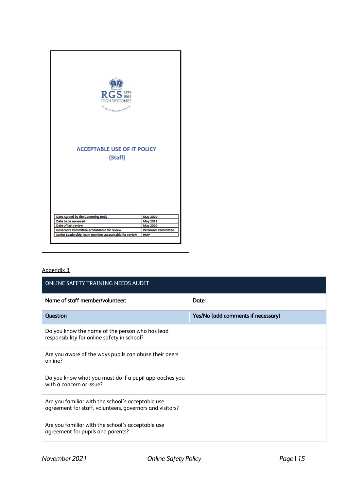| $\mathbf{RGS}$ EST?<br><b>HIGH WYCOMBE</b><br>ROMOSA REGIA CHAMP, STICK<br><b>ACCEPTABLE USE OF IT POLICY</b><br>(Staff) |                            |
|--------------------------------------------------------------------------------------------------------------------------|----------------------------|
|                                                                                                                          |                            |
| Date Agreed by the Governing Body                                                                                        | <b>May 2020</b>            |
| Date to be reviewed                                                                                                      | <b>May 2021</b>            |
| Date of last review                                                                                                      | <b>May 2020</b>            |
| Governors Committee accountable for review                                                                               | <b>Personnel Committee</b> |

| ONLINE SAFETY TRAINING NEEDS AUDIT                                                                            |                                    |  |  |  |
|---------------------------------------------------------------------------------------------------------------|------------------------------------|--|--|--|
| Name of staff member/volunteer:                                                                               | Date:                              |  |  |  |
| Question                                                                                                      | Yes/No (add comments if necessary) |  |  |  |
| Do you know the name of the person who has lead<br>responsibility for online safety in school?                |                                    |  |  |  |
| Are you aware of the ways pupils can abuse their peers<br>online?                                             |                                    |  |  |  |
| Do you know what you must do if a pupil approaches you<br>with a concern or issue?                            |                                    |  |  |  |
| Are you familiar with the school's acceptable use<br>agreement for staff, volunteers, governors and visitors? |                                    |  |  |  |
| Are you familiar with the school's acceptable use<br>agreement for pupils and parents?                        |                                    |  |  |  |